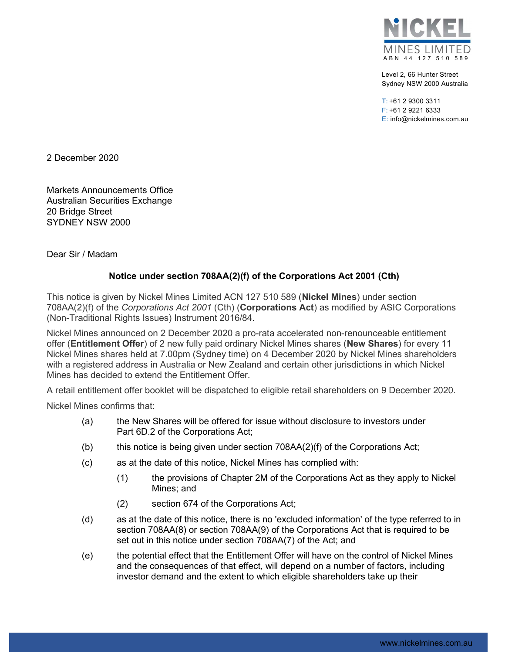

Level 2, 66 Hunter Street Sydney NSW 2000 Australia

T: +61 2 9300 3311 F: +61 2 9221 6333 E: info@nickelmines.com.au

2 December 2020

Markets Announcements Office Australian Securities Exchange 20 Bridge Street SYDNEY NSW 2000

Dear Sir / Madam

## Notice under section 708AA(2)(f) of the Corporations Act 2001 (Cth)

This notice is given by Nickel Mines Limited ACN 127 510 589 (Nickel Mines) under section 708AA(2)(f) of the Corporations Act 2001 (Cth) (Corporations Act) as modified by ASIC Corporations (Non-Traditional Rights Issues) Instrument 2016/84.

Nickel Mines announced on 2 December 2020 a pro-rata accelerated non-renounceable entitlement offer (Entitlement Offer) of 2 new fully paid ordinary Nickel Mines shares (New Shares) for every 11 Nickel Mines shares held at 7.00pm (Sydney time) on 4 December 2020 by Nickel Mines shareholders with a registered address in Australia or New Zealand and certain other jurisdictions in which Nickel Mines has decided to extend the Entitlement Offer.

A retail entitlement offer booklet will be dispatched to eligible retail shareholders on 9 December 2020.

Nickel Mines confirms that:

- (a) the New Shares will be offered for issue without disclosure to investors under Part 6D.2 of the Corporations Act;
- (b) this notice is being given under section 708AA(2)(f) of the Corporations Act;
- (c) as at the date of this notice, Nickel Mines has complied with:
	- (1) the provisions of Chapter 2M of the Corporations Act as they apply to Nickel Mines; and
	- (2) section 674 of the Corporations Act;
- (d) as at the date of this notice, there is no 'excluded information' of the type referred to in section 708AA(8) or section 708AA(9) of the Corporations Act that is required to be set out in this notice under section 708AA(7) of the Act; and
- (e) the potential effect that the Entitlement Offer will have on the control of Nickel Mines and the consequences of that effect, will depend on a number of factors, including investor demand and the extent to which eligible shareholders take up their